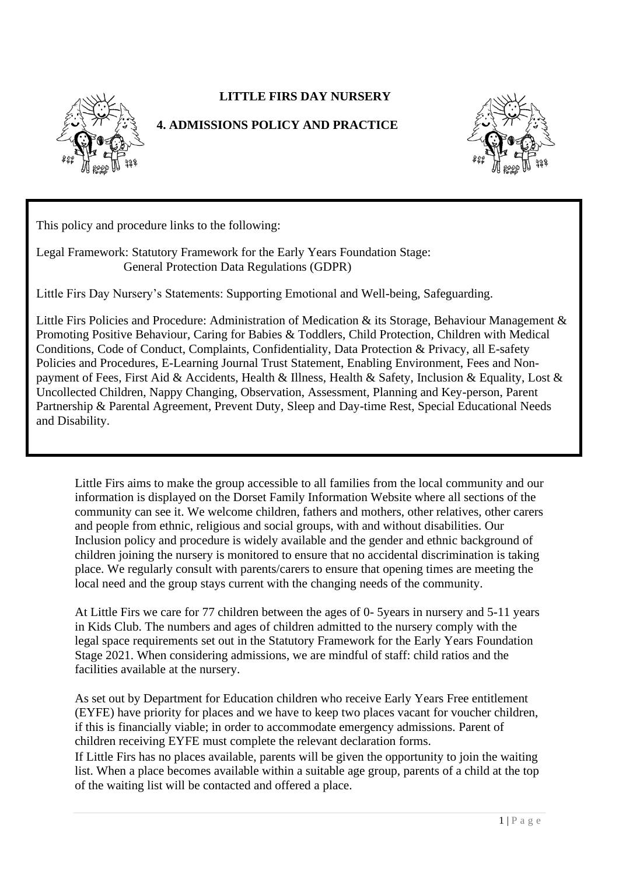



## **4. ADMISSIONS POLICY AND PRACTICE**



This policy and procedure links to the following:

Legal Framework: Statutory Framework for the Early Years Foundation Stage: General Protection Data Regulations (GDPR)

Little Firs Day Nursery's Statements: Supporting Emotional and Well-being, Safeguarding.

Little Firs Policies and Procedure: Administration of Medication & its Storage, Behaviour Management & Promoting Positive Behaviour, Caring for Babies & Toddlers, Child Protection, Children with Medical Conditions, Code of Conduct, Complaints, Confidentiality, Data Protection & Privacy, all E-safety Policies and Procedures, E-Learning Journal Trust Statement, Enabling Environment, Fees and Nonpayment of Fees, First Aid & Accidents, Health & Illness, Health & Safety, Inclusion & Equality, Lost & Uncollected Children, Nappy Changing, Observation, Assessment, Planning and Key-person, Parent Partnership & Parental Agreement, Prevent Duty, Sleep and Day-time Rest, Special Educational Needs and Disability.

Little Firs aims to make the group accessible to all families from the local community and our information is displayed on the Dorset Family Information Website where all sections of the community can see it. We welcome children, fathers and mothers, other relatives, other carers and people from ethnic, religious and social groups, with and without disabilities. Our Inclusion policy and procedure is widely available and the gender and ethnic background of children joining the nursery is monitored to ensure that no accidental discrimination is taking place. We regularly consult with parents/carers to ensure that opening times are meeting the local need and the group stays current with the changing needs of the community.

At Little Firs we care for 77 children between the ages of 0- 5years in nursery and 5-11 years in Kids Club. The numbers and ages of children admitted to the nursery comply with the legal space requirements set out in the Statutory Framework for the Early Years Foundation Stage 2021. When considering admissions, we are mindful of staff: child ratios and the facilities available at the nursery.

As set out by Department for Education children who receive Early Years Free entitlement (EYFE) have priority for places and we have to keep two places vacant for voucher children, if this is financially viable; in order to accommodate emergency admissions. Parent of children receiving EYFE must complete the relevant declaration forms.

If Little Firs has no places available, parents will be given the opportunity to join the waiting list. When a place becomes available within a suitable age group, parents of a child at the top of the waiting list will be contacted and offered a place.